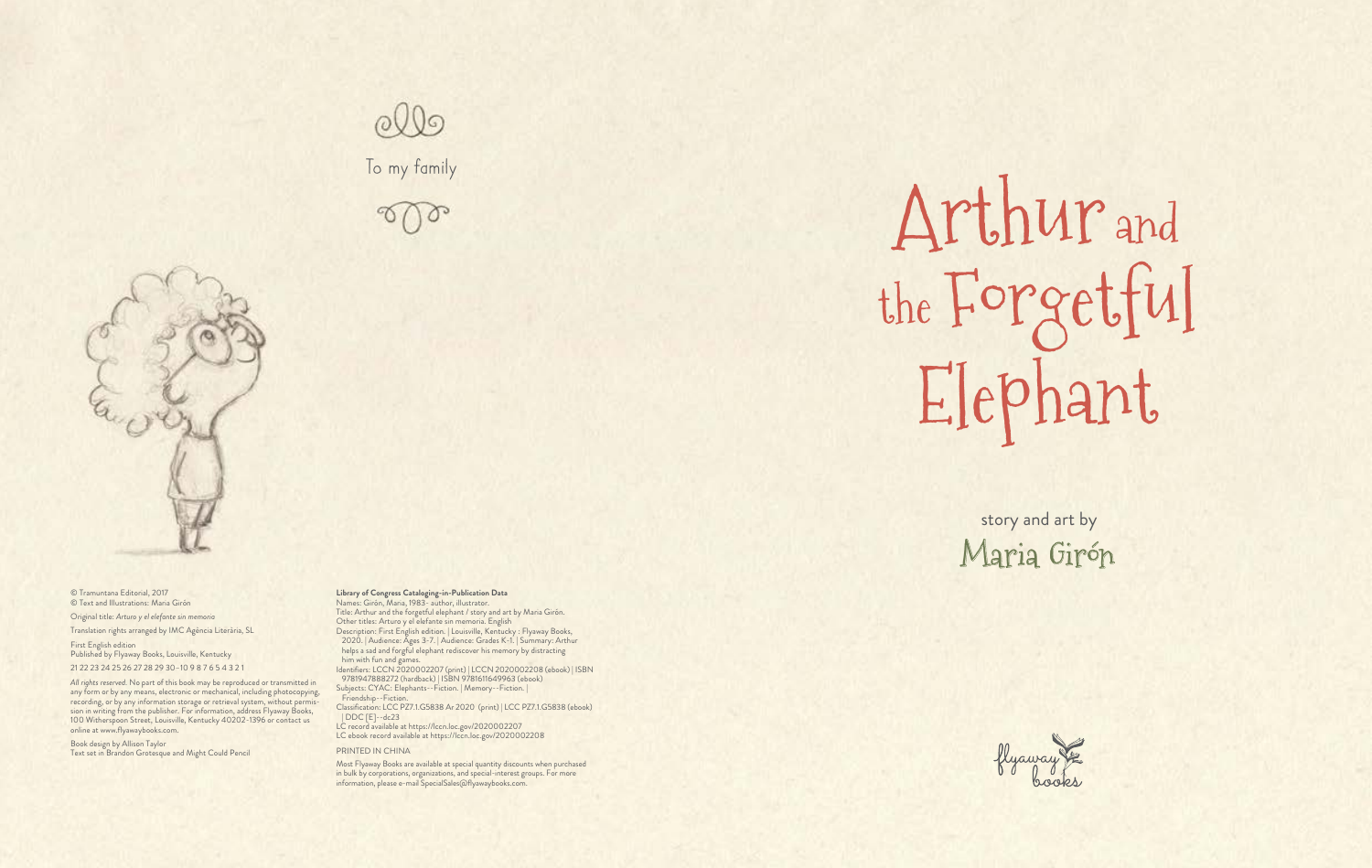© Tramuntana Editorial, 2017 © Text and Illustrations: Maria Girón

Original title: *Arturo y el elefante sin memoria*

Translation rights arranged by IMC Agència Literària, SL

First English edition Published by Flyaway Books, Louisville, Kentucky 21 22 23 24 25 26 27 28 29 30–10 9 8 7 6 5 4 3 2 1

*All rights reserved.* No part of this book may be reproduced or transmitted in any form or by any means, electronic or mechanical, including photocopying, recording, or by any information storage or retrieval system, without permission in writing from the publisher. For information, address Flyaway Books, 100 Witherspoon Street, Louisville, Kentucky 40202-1396 or contact us online at www.flyawaybooks.com.

Book design by Allison Taylor Text set in Brandon Grotesque and Might Could Pencil

## **Library of Congress Cataloging-in-Publication Data** Names: Girón, Maria, 1983- author, illustrator.

Title: Arthur and the forgetful elephant / story and art by Maria Girón. Other titles: Arturo y el elefante sin memoria. English Description: First English edition. | Louisville, Kentucky : Flyaway Books, 2020. | Audience: Ages 3-7. | Audience: Grades K-1. | Summary: Arthur helps a sad and forgful elephant rediscover his memory by distracting him with fun and games.

Identifiers: LCCN 2020002207 (print) | LCCN 2020002208 (ebook) | ISBN 9781947888272 (hardback) | ISBN 9781611649963 (ebook)

Subjects: CYAC: Elephants--Fiction. | Memory--Fiction. |

Friendship--Fiction.

Classification: LCC PZ7.1.G5838 Ar 2020 (print) | LCC PZ7.1.G5838 (ebook) | DDC [E]--dc23

LC record available at https://lccn.loc.gov/2020002207 LC ebook record available at https://lccn.loc.gov/2020002208

## PRINTED IN CHINA

Most Flyaway Books are available at special quantity discounts when purchased in bulk by corporations, organizations, and special-interest groups. For more information, please e-mail SpecialSales@flyawaybooks.com.

## To my family





## Arthur and the Forgetful Elephant

story and art b y Maria Girón



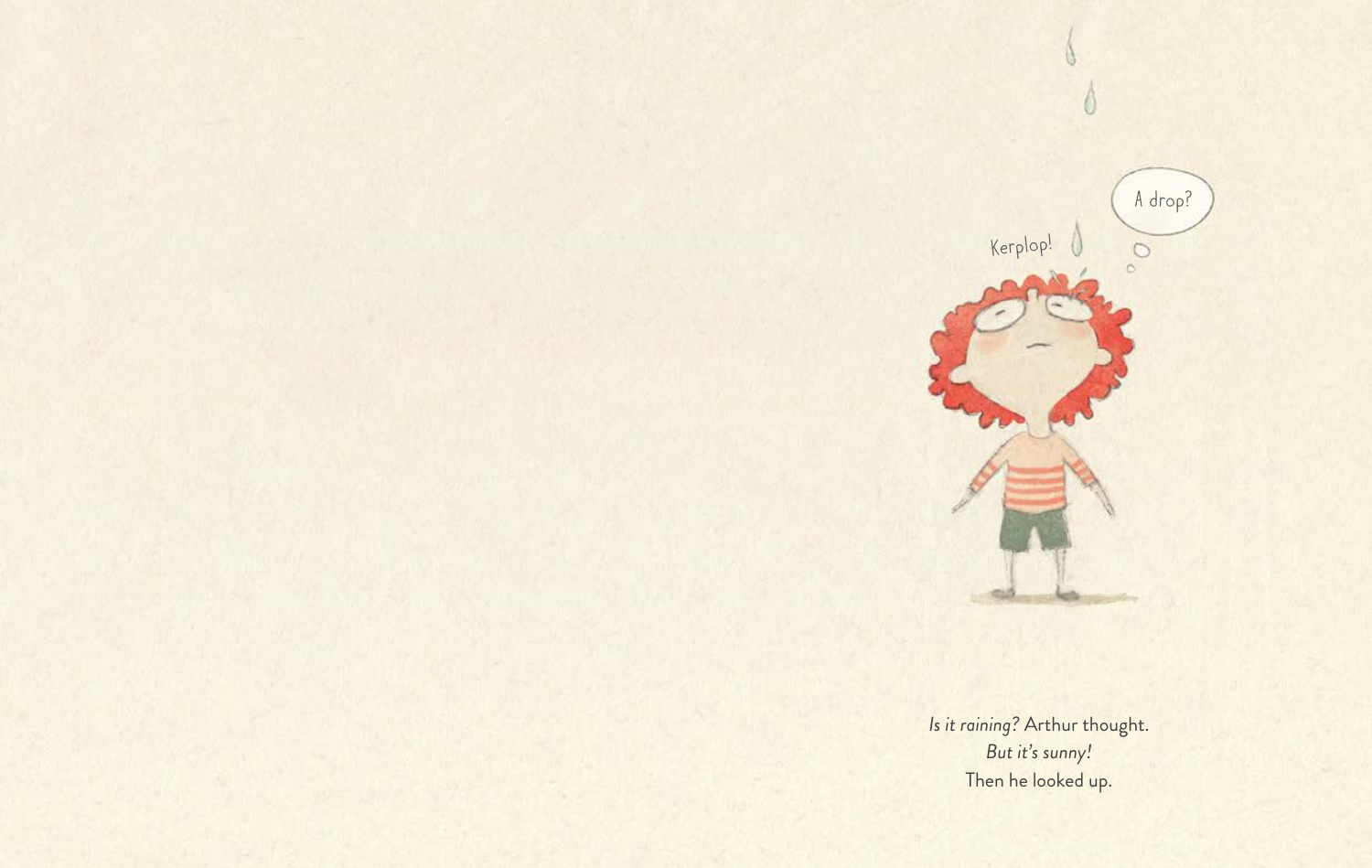*Is it raining?* Arthur thought. *But it's sunny!* Then he looked up.

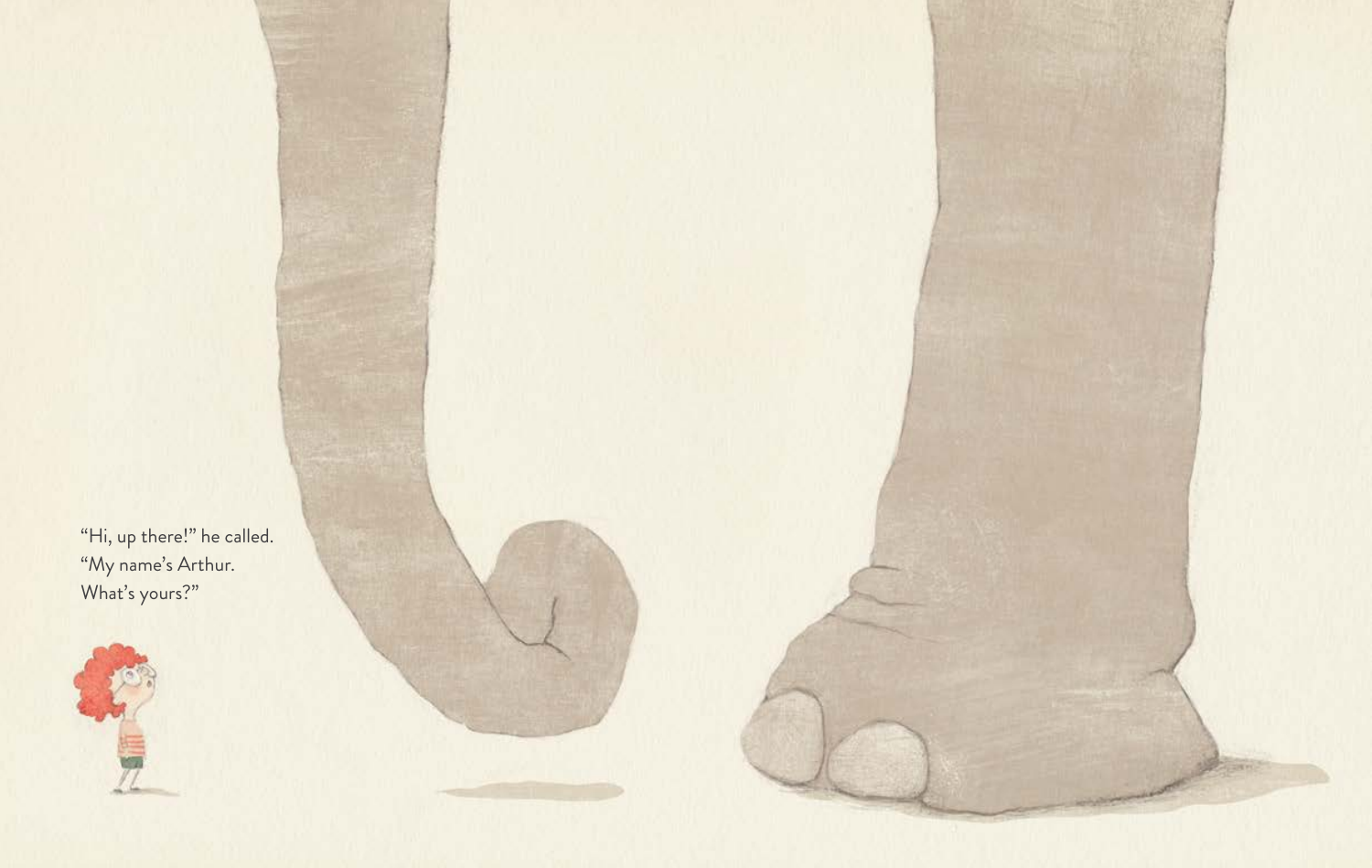"Hi, up there!" he called. "My name's Arthur. What's yours?"